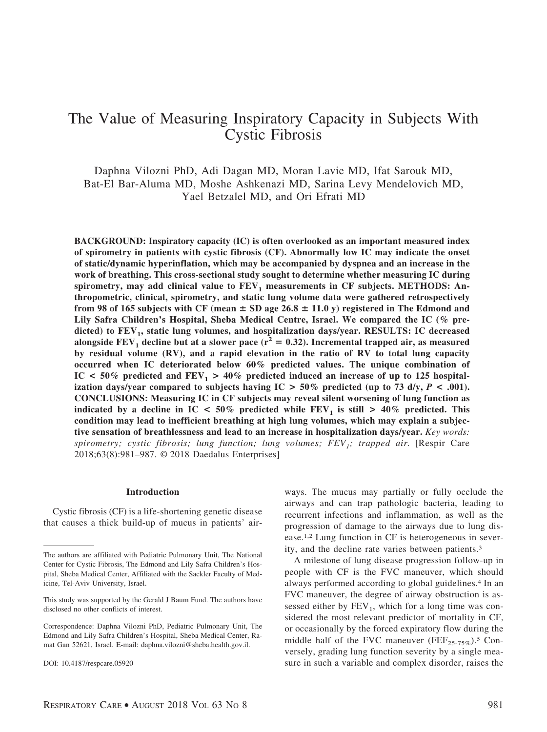# The Value of Measuring Inspiratory Capacity in Subjects With Cystic Fibrosis

Daphna Vilozni PhD, Adi Dagan MD, Moran Lavie MD, Ifat Sarouk MD, Bat-El Bar-Aluma MD, Moshe Ashkenazi MD, Sarina Levy Mendelovich MD, Yael Betzalel MD, and Ori Efrati MD

**BACKGROUND: Inspiratory capacity (IC) is often overlooked as an important measured index of spirometry in patients with cystic fibrosis (CF). Abnormally low IC may indicate the onset of static/dynamic hyperinflation, which may be accompanied by dyspnea and an increase in the work of breathing. This cross-sectional study sought to determine whether measuring IC during** spirometry, may add clinical value to  $FEV<sub>1</sub>$  measurements in CF subjects. METHODS: An**thropometric, clinical, spirometry, and static lung volume data were gathered retrospectively** from 98 of 165 subjects with CF (mean  $\pm$  SD age 26.8  $\pm$  11.0 y) registered in The Edmond and **Lily Safra Children's Hospital, Sheba Medical Centre, Israel. We compared the IC (% pre**dicted) to FEV<sub>1</sub>, static lung volumes, and hospitalization days/year. RESULTS: IC decreased alongside  $FEV_1$  decline but at a slower pace ( $r^2 = 0.32$ ). Incremental trapped air, as measured **by residual volume (RV), and a rapid elevation in the ratio of RV to total lung capacity occurred when IC deteriorated below 60% predicted values. The unique combination of** IC  $\leq 50\%$  predicted and FEV<sub>1</sub>  $> 40\%$  predicted induced an increase of up to 125 hospital**ization days/year compared to subjects having**  $IC > 50\%$  **predicted (up to 73 d/y,**  $P < .001$ **). CONCLUSIONS: Measuring IC in CF subjects may reveal silent worsening of lung function as indicated by a decline in IC**  $\lt$  50% predicted while FEV<sub>1</sub> is still  $\gt$  40% predicted. This **condition may lead to inefficient breathing at high lung volumes, which may explain a subjective sensation of breathlessness and lead to an increase in hospitalization days/year.** *Key words: spirometry; cystic fibrosis; lung function; lung volumes; FEV1; trapped air.* [Respir Care 2018;63(8):981–987. © 2018 Daedalus Enterprises]

### **Introduction**

Cystic fibrosis (CF) is a life-shortening genetic disease that causes a thick build-up of mucus in patients' airways. The mucus may partially or fully occlude the airways and can trap pathologic bacteria, leading to recurrent infections and inflammation, as well as the progression of damage to the airways due to lung disease.1,2 Lung function in CF is heterogeneous in severity, and the decline rate varies between patients.3

A milestone of lung disease progression follow-up in people with CF is the FVC maneuver, which should always performed according to global guidelines.4 In an FVC maneuver, the degree of airway obstruction is assessed either by  $FEV<sub>1</sub>$ , which for a long time was considered the most relevant predictor of mortality in CF, or occasionally by the forced expiratory flow during the middle half of the FVC maneuver (FEF<sub>25-75%</sub>).<sup>5</sup> Conversely, grading lung function severity by a single measure in such a variable and complex disorder, raises the

The authors are affiliated with Pediatric Pulmonary Unit, The National Center for Cystic Fibrosis, The Edmond and Lily Safra Children's Hospital, Sheba Medical Center, Affiliated with the Sackler Faculty of Medicine, Tel-Aviv University, Israel.

This study was supported by the Gerald J Baum Fund. The authors have disclosed no other conflicts of interest.

Correspondence: Daphna Vilozni PhD, Pediatric Pulmonary Unit, The Edmond and Lily Safra Children's Hospital, Sheba Medical Center, Ramat Gan 52621, Israel. E-mail: daphna.vilozni@sheba.health.gov.il.

DOI: 10.4187/respcare.05920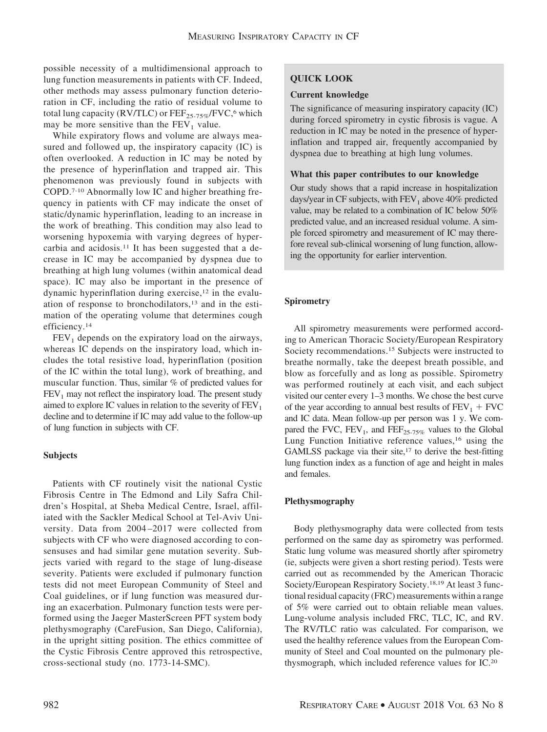possible necessity of a multidimensional approach to lung function measurements in patients with CF. Indeed, other methods may assess pulmonary function deterioration in CF, including the ratio of residual volume to total lung capacity (RV/TLC) or  $\text{FEF}_{25-75\%}/\text{FVC}$ , which may be more sensitive than the  $FEV<sub>1</sub>$  value.

While expiratory flows and volume are always measured and followed up, the inspiratory capacity (IC) is often overlooked. A reduction in IC may be noted by the presence of hyperinflation and trapped air. This phenomenon was previously found in subjects with COPD.7-10 Abnormally low IC and higher breathing frequency in patients with CF may indicate the onset of static/dynamic hyperinflation, leading to an increase in the work of breathing. This condition may also lead to worsening hypoxemia with varying degrees of hypercarbia and acidosis.11 It has been suggested that a decrease in IC may be accompanied by dyspnea due to breathing at high lung volumes (within anatomical dead space). IC may also be important in the presence of dynamic hyperinflation during exercise,<sup>12</sup> in the evaluation of response to bronchodilators,13 and in the estimation of the operating volume that determines cough efficiency.14

 $FEV<sub>1</sub>$  depends on the expiratory load on the airways, whereas IC depends on the inspiratory load, which includes the total resistive load, hyperinflation (position of the IC within the total lung), work of breathing, and muscular function. Thus, similar % of predicted values for  $FEV<sub>1</sub>$  may not reflect the inspiratory load. The present study aimed to explore IC values in relation to the severity of  $FEV<sub>1</sub>$ decline and to determine if IC may add value to the follow-up of lung function in subjects with CF.

# **Subjects**

Patients with CF routinely visit the national Cystic Fibrosis Centre in The Edmond and Lily Safra Children's Hospital, at Sheba Medical Centre, Israel, affiliated with the Sackler Medical School at Tel-Aviv University. Data from 2004 –2017 were collected from subjects with CF who were diagnosed according to consensuses and had similar gene mutation severity. Subjects varied with regard to the stage of lung-disease severity. Patients were excluded if pulmonary function tests did not meet European Community of Steel and Coal guidelines, or if lung function was measured during an exacerbation. Pulmonary function tests were performed using the Jaeger MasterScreen PFT system body plethysmography (CareFusion, San Diego, California), in the upright sitting position. The ethics committee of the Cystic Fibrosis Centre approved this retrospective, cross-sectional study (no. 1773-14-SMC).

# **QUICK LOOK**

## **Current knowledge**

The significance of measuring inspiratory capacity (IC) during forced spirometry in cystic fibrosis is vague. A reduction in IC may be noted in the presence of hyperinflation and trapped air, frequently accompanied by dyspnea due to breathing at high lung volumes.

## **What this paper contributes to our knowledge**

Our study shows that a rapid increase in hospitalization days/year in CF subjects, with  $FEV<sub>1</sub>$  above 40% predicted value, may be related to a combination of IC below 50% predicted value, and an increased residual volume. A simple forced spirometry and measurement of IC may therefore reveal sub-clinical worsening of lung function, allowing the opportunity for earlier intervention.

# **Spirometry**

All spirometry measurements were performed according to American Thoracic Society/European Respiratory Society recommendations.15 Subjects were instructed to breathe normally, take the deepest breath possible, and blow as forcefully and as long as possible. Spirometry was performed routinely at each visit, and each subject visited our center every 1–3 months. We chose the best curve of the year according to annual best results of  $FEV_1 + FVC$ and IC data. Mean follow-up per person was 1 y. We compared the FVC,  $FEV_1$ , and  $FEF_{25-75\%}$  values to the Global Lung Function Initiative reference values,<sup>16</sup> using the GAMLSS package via their site,<sup>17</sup> to derive the best-fitting lung function index as a function of age and height in males and females.

# **Plethysmography**

Body plethysmography data were collected from tests performed on the same day as spirometry was performed. Static lung volume was measured shortly after spirometry (ie, subjects were given a short resting period). Tests were carried out as recommended by the American Thoracic Society/European Respiratory Society.18,19 At least 3 functional residual capacity (FRC) measurements within a range of 5% were carried out to obtain reliable mean values. Lung-volume analysis included FRC, TLC, IC, and RV. The RV/TLC ratio was calculated. For comparison, we used the healthy reference values from the European Community of Steel and Coal mounted on the pulmonary plethysmograph, which included reference values for IC.20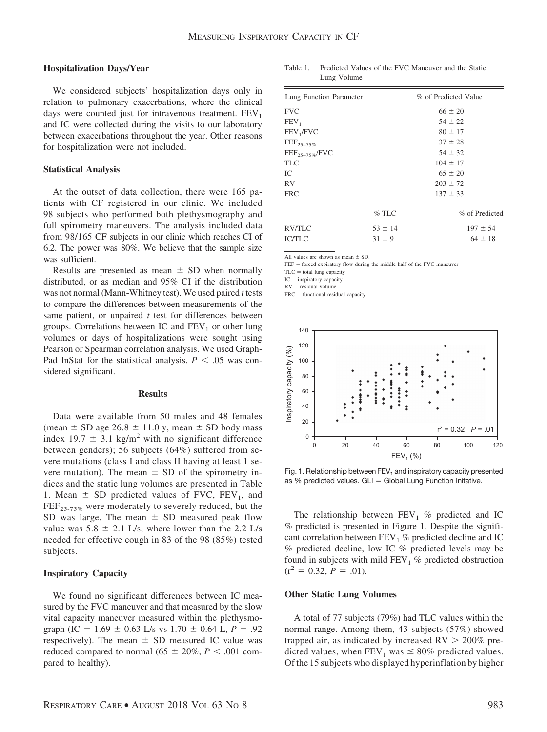#### **Hospitalization Days/Year**

We considered subjects' hospitalization days only in relation to pulmonary exacerbations, where the clinical days were counted just for intravenous treatment.  $FEV<sub>1</sub>$ and IC were collected during the visits to our laboratory between exacerbations throughout the year. Other reasons for hospitalization were not included.

## **Statistical Analysis**

At the outset of data collection, there were 165 patients with CF registered in our clinic. We included 98 subjects who performed both plethysmography and full spirometry maneuvers. The analysis included data from 98/165 CF subjects in our clinic which reaches CI of 6.2. The power was 80%. We believe that the sample size was sufficient.

Results are presented as mean  $\pm$  SD when normally distributed, or as median and 95% CI if the distribution was not normal (Mann-Whitney test). We used paired *t* tests to compare the differences between measurements of the same patient, or unpaired *t* test for differences between groups. Correlations between IC and  $FEV<sub>1</sub>$  or other lung volumes or days of hospitalizations were sought using Pearson or Spearman correlation analysis. We used Graph-Pad InStat for the statistical analysis.  $P < .05$  was considered significant.

## **Results**

Data were available from 50 males and 48 females (mean  $\pm$  SD age 26.8  $\pm$  11.0 y, mean  $\pm$  SD body mass index 19.7  $\pm$  3.1 kg/m<sup>2</sup> with no significant difference between genders); 56 subjects (64%) suffered from severe mutations (class I and class II having at least 1 severe mutation). The mean  $\pm$  SD of the spirometry indices and the static lung volumes are presented in Table 1. Mean  $\pm$  SD predicted values of FVC, FEV<sub>1</sub>, and  $\text{FEF}_{25-75\%}$  were moderately to severely reduced, but the SD was large. The mean  $\pm$  SD measured peak flow value was  $5.8 \pm 2.1$  L/s, where lower than the 2.2 L/s needed for effective cough in 83 of the 98 (85%) tested subjects.

## **Inspiratory Capacity**

We found no significant differences between IC measured by the FVC maneuver and that measured by the slow vital capacity maneuver measured within the plethysmograph (IC =  $1.69 \pm 0.63$  L/s vs  $1.70 \pm 0.64$  L,  $P = .92$ respectively). The mean  $\pm$  SD measured IC value was reduced compared to normal ( $65 \pm 20\%$ ,  $P < .001$  compared to healthy).

Table 1. Predicted Values of the FVC Maneuver and the Static Lung Volume

| Lung Function Parameter |             | % of Predicted Value |
|-------------------------|-------------|----------------------|
| <b>FVC</b>              |             | $66 \pm 20$          |
| FEV <sub>1</sub>        |             | $54 \pm 22$          |
| FEV <sub>1</sub> /FVC   |             | $80 \pm 17$          |
| $\text{FEF}_{25-75\%}$  |             | $37 \pm 28$          |
| $FEF_{25-75\%}/FVC$     |             | $54 \pm 32$          |
| <b>TLC</b>              |             | $104 \pm 17$         |
| IC.                     |             | $65 \pm 20$          |
| <b>RV</b>               |             | $203 \pm 72$         |
| <b>FRC</b>              |             | $137 \pm 33$         |
|                         | $%$ TLC     | % of Predicted       |
| RV/TLC                  | $53 \pm 14$ | $197 \pm 54$         |
| <b>IC/TLC</b>           | $31 \pm 9$  | $64 \pm 18$          |
|                         |             |                      |

All values are shown as mean  $\pm$  SD.

 $FEF =$  forced expiratory flow during the middle half of the FVC maneuver

 $TLC =$  total lung capacity

 $IC =$  inspiratory capacity

 $RV =$  residual volume

 $FRC =$  functional residual capacity



Fig. 1. Relationship between FEV<sub>1</sub> and inspiratory capacity presented as % predicted values.  $GLI = Global$  Lung Function Initative.

The relationship between  $FEV_1$  % predicted and IC % predicted is presented in Figure 1*.* Despite the significant correlation between  $FEV_1$  % predicted decline and IC % predicted decline, low IC % predicted levels may be found in subjects with mild  $FEV<sub>1</sub>$  % predicted obstruction  $(r^2 = 0.32, P = .01).$ 

#### **Other Static Lung Volumes**

A total of 77 subjects (79%) had TLC values within the normal range. Among them, 43 subjects (57%) showed trapped air, as indicated by increased  $RV > 200\%$  predicted values, when  $FEV_1$  was  $\leq 80\%$  predicted values. Of the 15 subjects who displayed hyperinflation by higher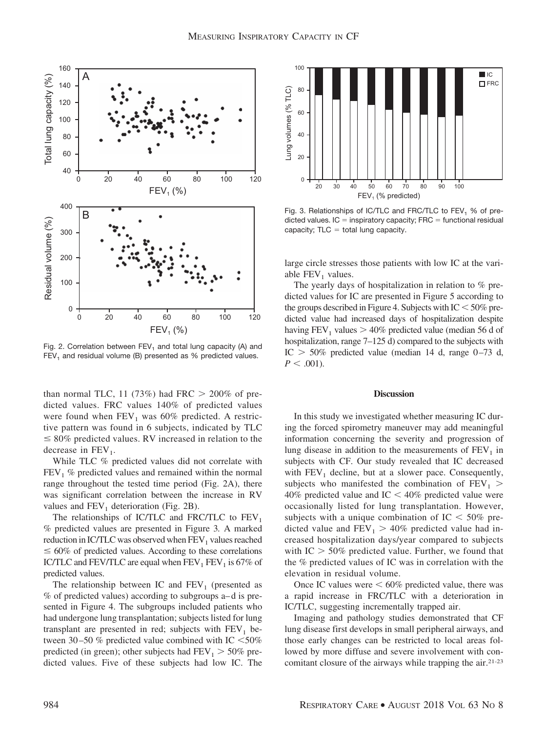

Fig. 2. Correlation between  $FEV<sub>1</sub>$  and total lung capacity (A) and  $FEV<sub>1</sub>$  and residual volume (B) presented as % predicted values.

than normal TLC, 11 (73%) had FRC  $> 200\%$  of predicted values. FRC values 140% of predicted values were found when  $FEV_1$  was 60% predicted. A restrictive pattern was found in 6 subjects, indicated by TLC  $\leq 80\%$  predicted values. RV increased in relation to the decrease in  $FEV<sub>1</sub>$ .

While TLC % predicted values did not correlate with  $FEV<sub>1</sub>$  % predicted values and remained within the normal range throughout the tested time period (Fig. 2A), there was significant correlation between the increase in RV values and  $FEV<sub>1</sub>$  deterioration (Fig. 2B).

The relationships of IC/TLC and FRC/TLC to  $FEV<sub>1</sub>$ % predicted values are presented in Figure 3*.* A marked reduction in IC/TLC was observed when  $FEV<sub>1</sub>$  values reached  $\leq 60\%$  of predicted values. According to these correlations IC/TLC and FEV/TLC are equal when  $FEV<sub>1</sub> FEV<sub>1</sub>$  is 67% of predicted values.

The relationship between IC and  $FEV<sub>1</sub>$  (presented as % of predicted values) according to subgroups a– d is presented in Figure 4. The subgroups included patients who had undergone lung transplantation; subjects listed for lung transplant are presented in red; subjects with  $FEV<sub>1</sub>$  between 30–50 % predicted value combined with IC  $\leq$ 50% predicted (in green); other subjects had  $FEV_1 > 50\%$  predicted values. Five of these subjects had low IC. The



Fig. 3. Relationships of IC/TLC and FRC/TLC to  $FEV<sub>1</sub>$  % of predicted values.  $IC =$  inspiratory capacity;  $FRC =$  functional residual capacity;  $TLC = total$  lung capacity.

large circle stresses those patients with low IC at the variable  $FEV<sub>1</sub>$  values.

The yearly days of hospitalization in relation to % predicted values for IC are presented in Figure 5 according to the groups described in Figure 4. Subjects with  $IC < 50\%$  predicted value had increased days of hospitalization despite having  $FEV_1$  values  $> 40\%$  predicted value (median 56 d of hospitalization, range 7–125 d) compared to the subjects with IC  $> 50\%$  predicted value (median 14 d, range 0–73 d,  $P < .001$ ).

#### **Discussion**

In this study we investigated whether measuring IC during the forced spirometry maneuver may add meaningful information concerning the severity and progression of lung disease in addition to the measurements of  $FEV<sub>1</sub>$  in subjects with CF. Our study revealed that IC decreased with  $FEV<sub>1</sub>$  decline, but at a slower pace. Consequently, subjects who manifested the combination of  $FEV<sub>1</sub>$ 40% predicted value and IC  $<$  40% predicted value were occasionally listed for lung transplantation. However, subjects with a unique combination of IC  $<$  50% predicted value and  $FEV_1 > 40\%$  predicted value had increased hospitalization days/year compared to subjects with  $IC > 50\%$  predicted value. Further, we found that the % predicted values of IC was in correlation with the elevation in residual volume.

Once IC values were  $\leq 60\%$  predicted value, there was a rapid increase in FRC/TLC with a deterioration in IC/TLC, suggesting incrementally trapped air.

Imaging and pathology studies demonstrated that CF lung disease first develops in small peripheral airways, and those early changes can be restricted to local areas followed by more diffuse and severe involvement with concomitant closure of the airways while trapping the air.21-23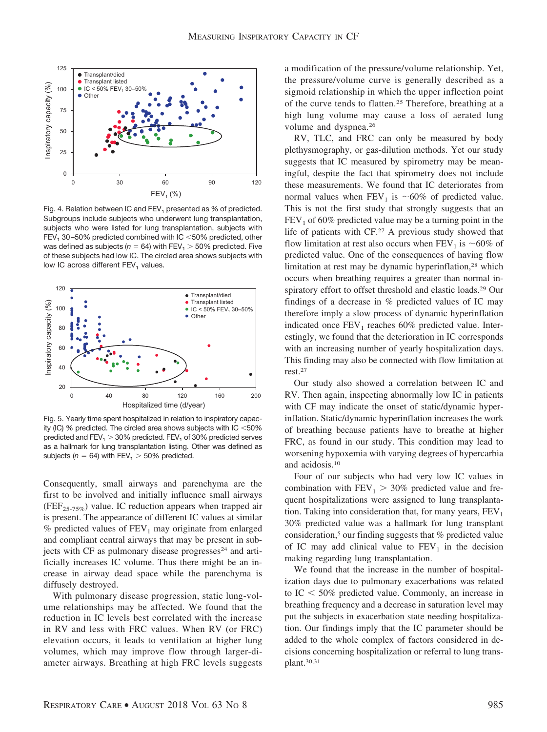

Fig. 4. Relation between IC and  $FEV<sub>1</sub>$  presented as % of predicted. Subgroups include subjects who underwent lung transplantation, subjects who were listed for lung transplantation, subjects with FEV<sub>1</sub> 30-50% predicted combined with IC  $<$  50% predicted, other was defined as subjects ( $n = 64$ ) with FEV<sub>1</sub>  $> 50\%$  predicted. Five of these subjects had low IC. The circled area shows subjects with low IC across different FEV<sub>1</sub> values.



Fig. 5. Yearly time spent hospitalized in relation to inspiratory capacity (IC) % predicted. The circled area shows subjects with IC  $<$  50% predicted and  $FEV_1 > 30\%$  predicted.  $FEV_1$  of 30% predicted serves as a hallmark for lung transplantation listing. Other was defined as subjects ( $n = 64$ ) with FEV<sub>1</sub>  $> 50\%$  predicted.

Consequently, small airways and parenchyma are the first to be involved and initially influence small airways (FEF<sub>25-75%</sub>) value. IC reduction appears when trapped air is present. The appearance of different IC values at similar  $%$  predicted values of  $FEV<sub>1</sub>$  may originate from enlarged and compliant central airways that may be present in subjects with CF as pulmonary disease progresses<sup>24</sup> and artificially increases IC volume. Thus there might be an increase in airway dead space while the parenchyma is diffusely destroyed.

With pulmonary disease progression, static lung-volume relationships may be affected. We found that the reduction in IC levels best correlated with the increase in RV and less with FRC values. When RV (or FRC) elevation occurs, it leads to ventilation at higher lung volumes, which may improve flow through larger-diameter airways. Breathing at high FRC levels suggests a modification of the pressure/volume relationship. Yet, the pressure/volume curve is generally described as a sigmoid relationship in which the upper inflection point of the curve tends to flatten.25 Therefore, breathing at a high lung volume may cause a loss of aerated lung volume and dyspnea.26

RV, TLC, and FRC can only be measured by body plethysmography, or gas-dilution methods. Yet our study suggests that IC measured by spirometry may be meaningful, despite the fact that spirometry does not include these measurements. We found that IC deteriorates from normal values when  $FEV_1$  is ~60% of predicted value. This is not the first study that strongly suggests that an  $FEV<sub>1</sub>$  of 60% predicted value may be a turning point in the life of patients with CF.27 A previous study showed that flow limitation at rest also occurs when  $FEV<sub>1</sub>$  is ~60% of predicted value. One of the consequences of having flow limitation at rest may be dynamic hyperinflation,28 which occurs when breathing requires a greater than normal inspiratory effort to offset threshold and elastic loads.29 Our findings of a decrease in % predicted values of IC may therefore imply a slow process of dynamic hyperinflation indicated once  $FEV_1$  reaches 60% predicted value. Interestingly, we found that the deterioration in IC corresponds with an increasing number of yearly hospitalization days. This finding may also be connected with flow limitation at rest.27

Our study also showed a correlation between IC and RV. Then again, inspecting abnormally low IC in patients with CF may indicate the onset of static/dynamic hyperinflation. Static/dynamic hyperinflation increases the work of breathing because patients have to breathe at higher FRC, as found in our study. This condition may lead to worsening hypoxemia with varying degrees of hypercarbia and acidosis.10

Four of our subjects who had very low IC values in combination with  $FEV_1 > 30\%$  predicted value and frequent hospitalizations were assigned to lung transplantation. Taking into consideration that, for many years,  $FEV<sub>1</sub>$ 30% predicted value was a hallmark for lung transplant consideration,5 our finding suggests that % predicted value of IC may add clinical value to  $FEV<sub>1</sub>$  in the decision making regarding lung transplantation.

We found that the increase in the number of hospitalization days due to pulmonary exacerbations was related to  $IC < 50\%$  predicted value. Commonly, an increase in breathing frequency and a decrease in saturation level may put the subjects in exacerbation state needing hospitalization. Our findings imply that the IC parameter should be added to the whole complex of factors considered in decisions concerning hospitalization or referral to lung transplant.30,31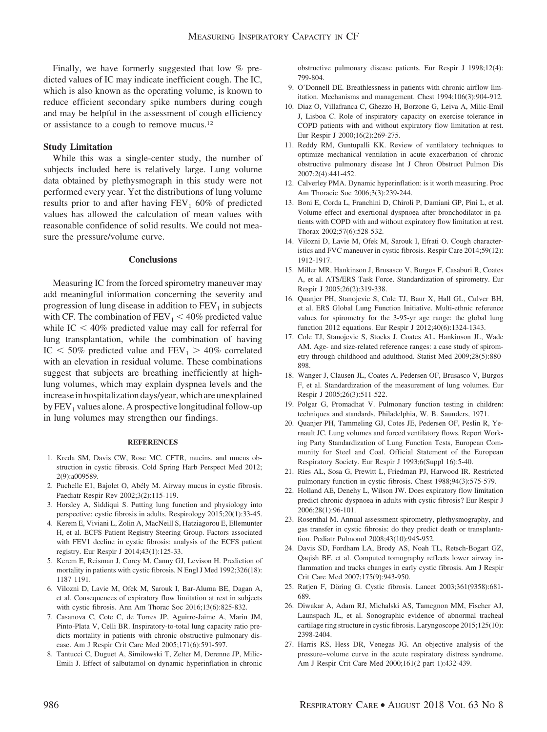Finally, we have formerly suggested that low % predicted values of IC may indicate inefficient cough. The IC, which is also known as the operating volume, is known to reduce efficient secondary spike numbers during cough and may be helpful in the assessment of cough efficiency or assistance to a cough to remove mucus.12

## **Study Limitation**

While this was a single-center study, the number of subjects included here is relatively large. Lung volume data obtained by plethysmograph in this study were not performed every year. Yet the distributions of lung volume results prior to and after having  $FEV<sub>1</sub>$  60% of predicted values has allowed the calculation of mean values with reasonable confidence of solid results. We could not measure the pressure/volume curve.

#### **Conclusions**

Measuring IC from the forced spirometry maneuver may add meaningful information concerning the severity and progression of lung disease in addition to  $FEV<sub>1</sub>$  in subjects with CF. The combination of  $FEV<sub>1</sub> < 40\%$  predicted value while  $IC < 40\%$  predicted value may call for referral for lung transplantation, while the combination of having IC  $<$  50% predicted value and FEV<sub>1</sub>  $>$  40% correlated with an elevation in residual volume. These combinations suggest that subjects are breathing inefficiently at highlung volumes, which may explain dyspnea levels and the increasein hospitalization days/year, which are unexplained by  $FEV<sub>1</sub>$  values alone. A prospective longitudinal follow-up in lung volumes may strengthen our findings.

#### **REFERENCES**

- 1. Kreda SM, Davis CW, Rose MC. CFTR, mucins, and mucus obstruction in cystic fibrosis. Cold Spring Harb Perspect Med 2012; 2(9):a009589.
- 2. Puchelle E1, Bajolet O, Abély M. Airway mucus in cystic fibrosis. Paediatr Respir Rev 2002;3(2):115-119.
- 3. Horsley A, Siddiqui S. Putting lung function and physiology into perspective: cystic fibrosis in adults. Respirology 2015;20(1):33-45.
- 4. Kerem E, Viviani L, Zolin A, MacNeill S, Hatziagorou E, Ellemunter H, et al. ECFS Patient Registry Steering Group. Factors associated with FEV1 decline in cystic fibrosis: analysis of the ECFS patient registry. Eur Respir J 2014;43(1):125-33.
- 5. Kerem E, Reisman J, Corey M, Canny GJ, Levison H. Prediction of mortality in patients with cystic fibrosis. N Engl J Med 1992;326(18): 1187-1191.
- 6. Vilozni D, Lavie M, Ofek M, Sarouk I, Bar-Aluma BE, Dagan A, et al. Consequences of expiratory flow limitation at rest in subjects with cystic fibrosis. Ann Am Thorac Soc 2016;13(6):825-832.
- 7. Casanova C, Cote C, de Torres JP, Aguirre-Jaime A, Marin JM, Pinto-Plata V, Celli BR. Inspiratory-to-total lung capacity ratio predicts mortality in patients with chronic obstructive pulmonary disease. Am J Respir Crit Care Med 2005;171(6):591-597.
- 8. Tantucci C, Duguet A, Similowski T, Zelter M, Derenne JP, Milic-Emili J. Effect of salbutamol on dynamic hyperinflation in chronic

obstructive pulmonary disease patients. Eur Respir J 1998;12(4): 799-804.

- 9. O'Donnell DE. Breathlessness in patients with chronic airflow limitation. Mechanisms and management. Chest 1994;106(3):904-912.
- 10. Diaz O, Villafranca C, Ghezzo H, Borzone G, Leiva A, Milic-Emil J, Lisboa C. Role of inspiratory capacity on exercise tolerance in COPD patients with and without expiratory flow limitation at rest. Eur Respir J 2000;16(2):269-275.
- 11. Reddy RM, Guntupalli KK. Review of ventilatory techniques to optimize mechanical ventilation in acute exacerbation of chronic obstructive pulmonary disease Int J Chron Obstruct Pulmon Dis 2007;2(4):441-452.
- 12. Calverley PMA. Dynamic hyperinflation: is it worth measuring. Proc Am Thoracic Soc 2006;3(3):239-244.
- 13. Boni E, Corda L, Franchini D, Chiroli P, Damiani GP, Pini L, et al. Volume effect and exertional dyspnoea after bronchodilator in patients with COPD with and without expiratory flow limitation at rest. Thorax 2002;57(6):528-532.
- 14. Vilozni D, Lavie M, Ofek M, Sarouk I, Efrati O. Cough characteristics and FVC maneuver in cystic fibrosis. Respir Care 2014;59(12): 1912-1917.
- 15. Miller MR, Hankinson J, Brusasco V, Burgos F, Casaburi R, Coates A, et al. ATS/ERS Task Force. Standardization of spirometry. Eur Respir J 2005;26(2):319-338.
- 16. Quanjer PH, Stanojevic S, Cole TJ, Baur X, Hall GL, Culver BH, et al. ERS Global Lung Function Initiative. Multi-ethnic reference values for spirometry for the 3-95-yr age range: the global lung function 2012 equations. Eur Respir J 2012;40(6):1324-1343.
- 17. Cole TJ, Stanojevic S, Stocks J, Coates AL, Hankinson JL, Wade AM. Age- and size-related reference ranges: a case study of spirometry through childhood and adulthood. Statist Med 2009;28(5):880- 898.
- 18. Wanger J, Clausen JL, Coates A, Pedersen OF, Brusasco V, Burgos F, et al. Standardization of the measurement of lung volumes. Eur Respir J 2005;26(3):511-522.
- 19. Polgar G, Promadhat V. Pulmonary function testing in children: techniques and standards. Philadelphia, W. B. Saunders, 1971.
- 20. Quanjer PH, Tammeling GJ, Cotes JE, Pedersen OF, Peslin R, Yernault JC. Lung volumes and forced ventilatory flows. Report Working Party Standardization of Lung Function Tests, European Community for Steel and Coal. Official Statement of the European Respiratory Society. Eur Respir J 1993;6(Suppl 16):5-40.
- 21. Ries AL, Sosa G, Prewitt L, Friedman PJ, Harwood IR. Restricted pulmonary function in cystic fibrosis. Chest 1988;94(3):575-579.
- 22. Holland AE, Denehy L, Wilson JW. Does expiratory flow limitation predict chronic dyspnoea in adults with cystic fibrosis? Eur Respir J 2006;28(1):96-101.
- 23. Rosenthal M. Annual assessment spirometry, plethysmography, and gas transfer in cystic fibrosis: do they predict death or transplantation. Pediatr Pulmonol 2008;43(10):945-952.
- 24. Davis SD, Fordham LA, Brody AS, Noah TL, Retsch-Bogart GZ, Qaqish BF, et al. Computed tomography reflects lower airway inflammation and tracks changes in early cystic fibrosis. Am J Respir Crit Care Med 2007;175(9):943-950.
- 25. Ratjen F, Döring G. Cystic fibrosis. Lancet 2003;361(9358):681-689.
- 26. Diwakar A, Adam RJ, Michalski AS, Tamegnon MM, Fischer AJ, Launspach JL, et al. Sonographic evidence of abnormal tracheal cartilage ring structure in cystic fibrosis. Laryngoscope 2015;125(10): 2398-2404.
- 27. Harris RS, Hess DR, Venegas JG. An objective analysis of the pressure–volume curve in the acute respiratory distress syndrome. Am J Respir Crit Care Med 2000;161(2 part 1):432-439.